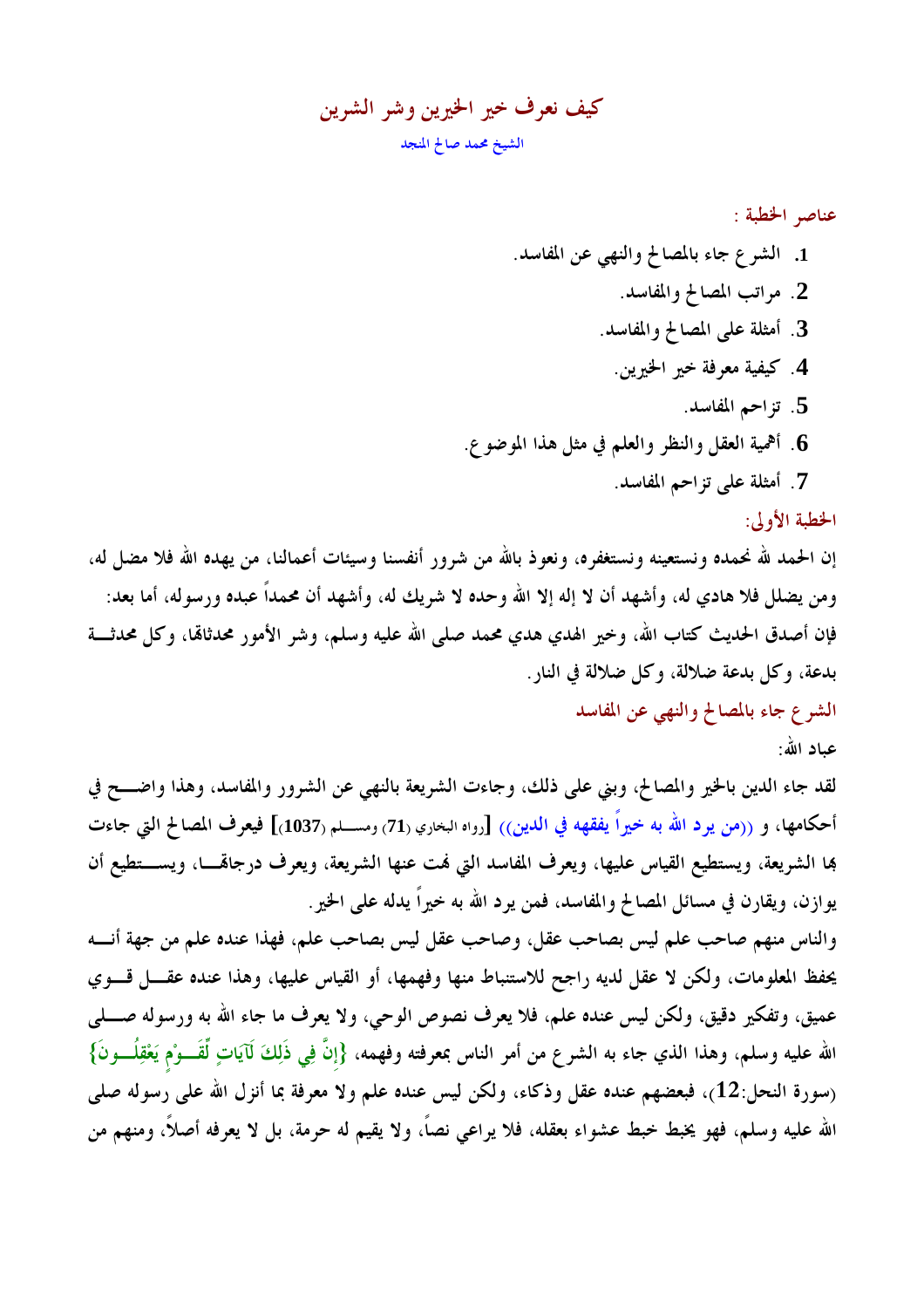كيف نعرف خير الخيرين وشر الشرين الشيخ محمد صالح المنجد

الخطبة الأولى:

إن الحمد لله نحمده ونستعينه ونستغفره، ونعوذ بالله من شرور أنفسنا وسيئات أعمالنا، من يهده الله فلا مضل له، ومن يضلل فلا هادي له، وأشهد أن لا إله إلا الله وحده لا شريك له، وأشهد أن محمداً عبده ورسوله، أما بعد: فإن أصدق الحديث كتاب الله، وخير الهدي هدي محمد صلى الله عليه وسلم، وشر الأمور محدثاقما، وكل محدثــــة بدعة، وكل بدعة ضلالة، وكل ضلالة في النار .

الشرع جاء بالمصالح والنهى عن المفاسد

عياد الله:

لقد جاء الدين بالخير والمصالح، وبني على ذلك، وجاءت الشريعة بالنهي عن الشرور والمفاسد، وهذا واضـــح في أحكامها، و ((من يرد الله به خيراً يفقهه في الدين)) [رواه البخاري (71) ومســـلم (1037)] فيعرف المصالح التي جاءت بما الشريعة، ويستطيع القياس عليها، ويعرف المفاسد التي نمت عنها الشريعة، ويعرف درجالهــــا، ويســــتطيع أن يوازن، ويقارن في مسائل المصالح والمفاسد، فمن يرد الله به خيراً يدله على الخير.

والناس منهم صاحب علم ليس بصاحب عقل، وصاحب عقل ليس بصاحب علم، فهذا عنده علم من جهة أنسه يحفظ المعلومات، ولكن لا عقل لديه راجح للاستنباط منها وفهمها، أو القياس عليها، وهذا عنده عقــــل قــــوي عميق، وتفكير دقيق، ولكن ليس عنده علم، فلا يعرف نصوص الوحي، ولا يعرف ما جاء الله به ورسوله صــــلي الله عليه وسلم، وهذا الذي جاء به الشرع من أمر الناس بمعرفته وفهمه، {إنَّ فِي ذَلِكَ لَآيَاتٍ لِّقَـــوْم يَعْقِلُـــونَ} (سورة النحل:12)، فبعضهم عنده عقل وذكاء، ولكن ليس عنده علم ولا معرفة بما أنزل الله على رسوله صلى الله عليه وسلم، فهو يخبط حبط عشواء بعقله، فلا يراعي نصاً، ولا يقيم له حرمة، بل لا يعرفه أصلاً، ومنهم من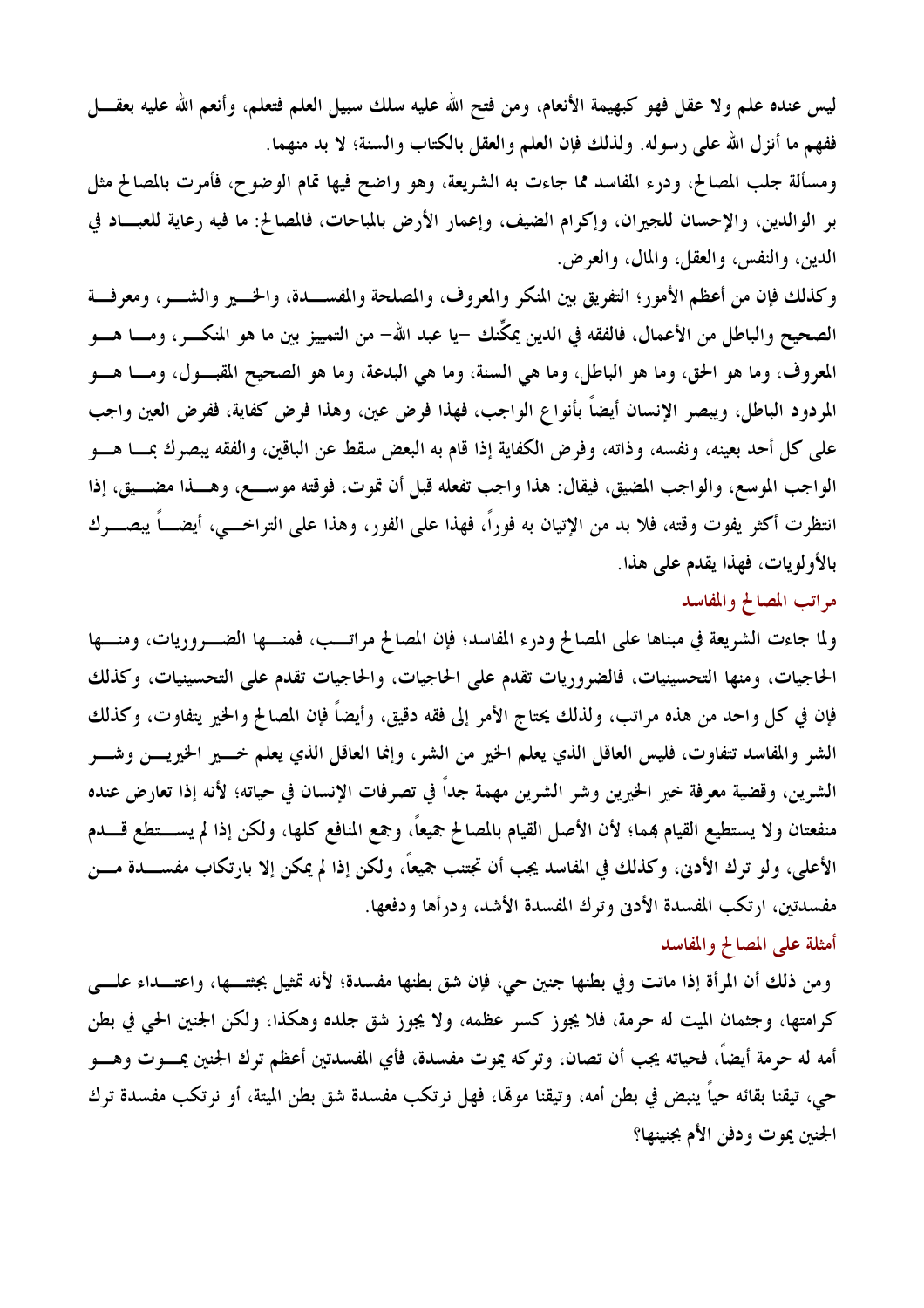ليس عنده علم ولا عقل فهو كبهيمة الأنعام، ومن فتح الله عليه سلك سبيل العلم فتعلم، وأنعم الله عليه بعقــــل ففهم ما أنزل الله على رسوله. ولذلك فإن العلم والعقل بالكتاب والسنة؛ لا بد منهما. ومسألة جلب المصالح، ودرء المفاسد مما جاءت به الشريعة، وهو واضح فيها تمام الوضوح، فأمرت بالمصالح مثل بر الوالدين، والإحسان للجيران، وإكرام الضيف، وإعمار الأرض بالمباحات، فالمصالح: ما فيه رعاية للعبــاد في الدين، والنفس، والعقل، والمال، والعرض.

وكذلك فإن من أعظم الأمور؛ التفريق بين المنكر والمعروف، والمصلحة والمفســدة، والخـــير والشــــر، ومعرفـــة الصحيح والباطل من الأعمال، فالفقه في الدين يمكِّنك –يا عبد الله– من التمييز بين ما هو المنكـــــر، ومـــــا هـــــو المعروف، وما هو الحق، وما هو الباطل، وما هي السنة، وما هي البدعة، وما هو الصحيح المقبــول، ومـــا هـــو المردود الباطل، ويبصر الإنسان أيضاً بأنواع الواجب، فهذا فرض عين، وهذا فرض كفاية، ففرض العين واجب على كل أحد بعينه، ونفسه، وذاته، وفرض الكفاية إذا قام به البعض سقط عن الباقين، والفقه يبصرك بمسا هسو الواجب الموسع، والواجب المضيق، فيقال: هذا واجب تفعله قبل أن تموت، فوقته موســع، وهــذا مضــيق، إذا انتظرت أكثر يفوت وقته، فلا بد من الإتيان به فوراً، فهذا على الفور، وهذا على التراخـــي، أيضــــاً يبصــــرك بالأولويات، فهذا يقدم على هذا.

## مراتب المصالح والمفاسد

ولما جاءت الشريعة في مبناها على المصالح ودرء المفاسد؛ فإن المصالح مراتــب، فمنـــها الضـــروريات، ومنـــها الحاجيات، ومنها التحسينيات، فالضروريات تقدم على الحاجيات، والحاجيات تقدم على التحسينيات، وكذلك فإن في كل واحد من هذه مراتب، ولذلك يحتاج الأمر إلى فقه دقيق، وأيضاً فإن المصالح والخير يتفاوت، وكذلك الشر والمفاسد تتفاوت، فليس العاقل الذي يعلم الخير من الشر، وإنما العاقل الذي يعلم خسير الخيريسن وشسر الشرين، وقضية معرفة خير الخيرين وشر الشرين مهمة جداً في تصرفات الإنسان في حياته؛ لأنه إذا تعارض عنده منفعتان ولا يستطيع القيام بمما؛ لأن الأصل القيام بالمصالح جميعاً، وجمع المنافع كلها، ولكن إذا لم يســـتطع قــــدم الأعلى، ولو ترك الأدنى، وكذلك في المفاسد يجب أن تجتنب جميعاً، ولكن إذا لم يمكن إلا بارتكاب مفســــدة مــــن مفسدتين، ارتكب المفسدة الأدنى وترك المفسدة الأشد، ودرأها ودفعها. أمثلة على المصالح والمفاسد

## ومن ذلك أن المرأة إذا ماتت وفي بطنها جنين حي، فإن شق بطنها مفسدة؛ لأنه تمثيل بجثتـــها، واعتـــداء علــــي كرامتها، وجثمان الميت له حرمة، فلا يجوز كسر عظمه، ولا يجوز شق جلده وهكذا، ولكن الجنين الحي في بطن أمه له حرمة أيضاً، فحياته يجب أن تصان، وتركه يموت مفسدة، فأي المفسدتين أعظم ترك الجنين يمــــوت وهــــو حي، تيقنا بقائه حياً ينبض في بطن أمه، وتيقنا مولها، فهل نرتكب مفسدة شق بطن الميتة، أو نرتكب مفسدة ترك الجنين يموت ودفن الأم بجنينها؟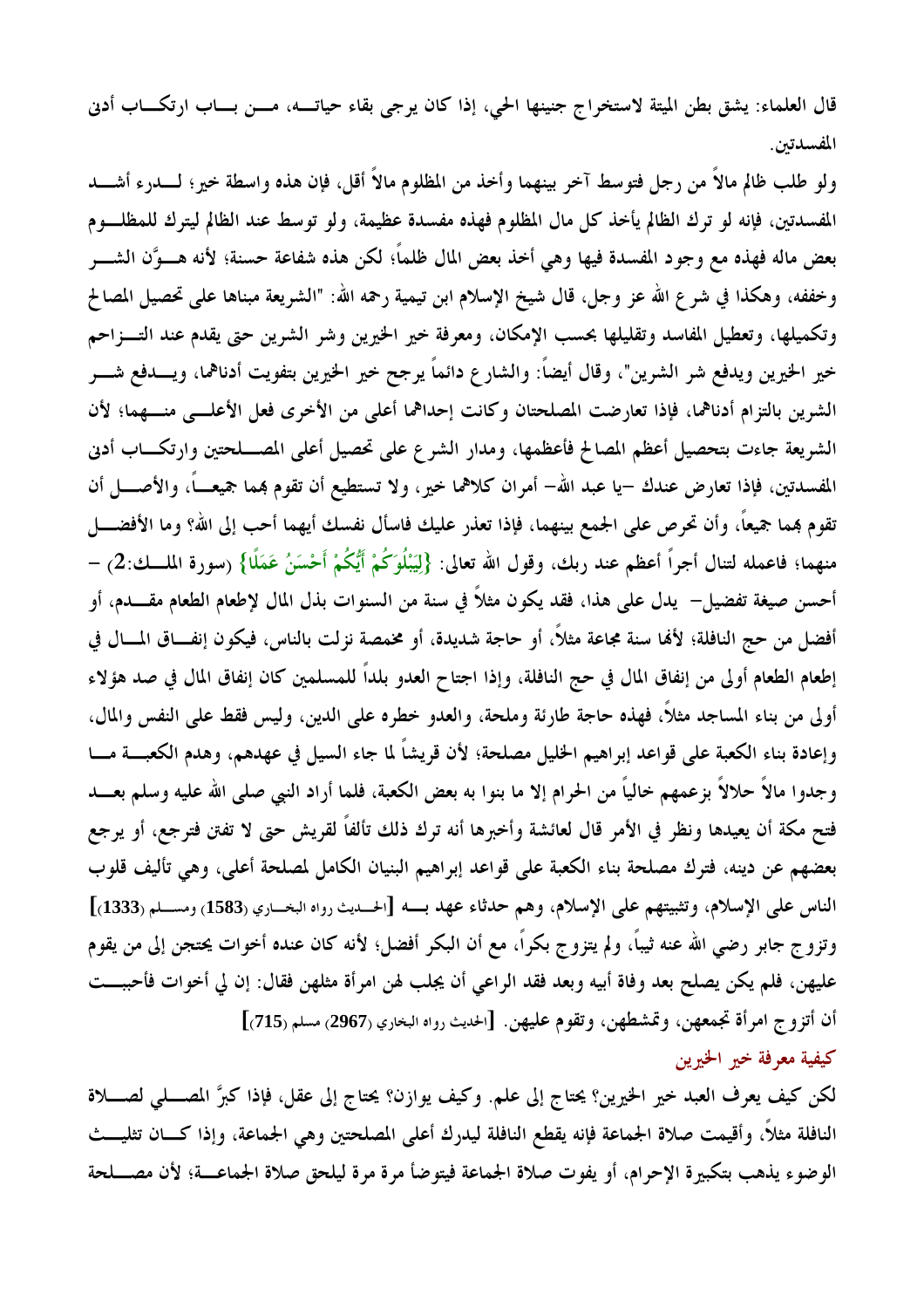قال العلماء: يشق بطن الميتة لاستخراج جنينها الحي، إذا كان يرجى بقاء حياتـــه، مـــن بـــاب ارتكـــاب أدنى المفسدتين.

ولو طلب ظالم مالاً من رجل فتوسط آخر بينهما وأخذ من المظلوم مالاً أقل، فإن هذه واسطة خير؛ لــــدرء أشــــد المفسدتين، فإنه لو ترك الظالم يأخذ كل مال المظلوم فهذه مفسدة عظيمة، ولو توسط عند الظالم ليترك للمظلـوم بعض ماله فهذه مع وجود المفسدة فيها وهي أخذ بعض المال ظلماً؛ لكن هذه شفاعة حسنة؛ لأنه هـــوَّن الشـــر وخففه، وهكذا في شرع الله عز وجل، قال شيخ الإسلام ابن تيمية رحمه الله: "الشريعة مبناها على تحصيل المصالح وتكميلها، وتعطيل المفاسد وتقليلها بحسب الإمكان، ومعرفة خير الخيرين وشر الشرين حتى يقدم عند التـــزاحم خير الخيرين ويدفع شر الشرين"، وقال أيضاً: والشار ع دائماً يرجح خير الخيرين بتفويت أدناهما، ويـــدفع شـــر الشرين بالتزام أدناهما، فإذا تعارضت المصلحتان وكانت إحداهما أعلى من الأخرى فعل الأعلـــى منـــهما؛ لأن الشريعة جاءت بتحصيل أعظم المصالح فأعظمها، ومدار الشرع على تحصيل أعلى المصـــلحتين وارتكـــاب أدبى المفسدتين، فإذا تعارض عندك –يا عبد الله– أمران كلاهما خير، ولا تستطيع أن تقوم بمما جميعـــاً، والأصــــل أن تقوم بمما جميعاً، وأن تحرص على الجمع بينهما، فإذا تعذر عليك فاسأل نفسك أيهما أحب إلى الله؟ وما الأفضــــل منهما؛ فاعمله لتنال أجراً أعظم عند ربك، وقول الله تعالى: {لِيَبْلُوَكُمْ أَيُّكُمْ أَحْسَنُ عَمَلًا} (سورة الملــك:2) – أحسن صيغة تفضيل– يدل على هذا، فقد يكون مثلاً في سنة من السنوات بذل المال لإطعام الطعام مقــــدم، أو أفضل من حج النافلة؛ لألها سنة مجاعة مثلاً، أو حاجة شديدة، أو مخمصة نزلت بالناس، فيكون إنفــاق المـــال في إطعام الطعام أولى من إنفاق المال في حج النافلة، وإذا اجتاح العدو بلداً للمسلمين كان إنفاق المال في صد هؤلاء أولى من بناء المساجد مثلاً، فهذه حاجة طارئة وملحة، والعدو خطره على الدين، وليس فقط على النفس والمال، وإعادة بناء الكعبة على قواعد إبراهيم الخليل مصلحة؛ لأن قريشاً لما جاء السيل في عهدهم، وهدم الكعبـــة مــــا وجدوا مالاً حلالاً بزعمهم خالياً من الحرام إلا ما بنوا به بعض الكعبة، فلما أراد النبي صلى الله عليه وسلم بعـــد فتح مكة أن يعيدها ونظر في الأمر قال لعائشة وأخبرها أنه ترك ذلك تألفاً لقريش حتى لا تفتن فترجع، أو يرجع بعضهم عن دينه، فترك مصلحة بناء الكعبة على قواعد إبراهيم البنيان الكامل لمصلحة أعلى، وهي تأليف قلوب الناس على الإسلام، وتثبيتهم على الإسلام، وهم حدثاء عهد بــه [الحـديث رواه البخـاري (1583) ومسـلم (1333)] وتزوج جابر رضي الله عنه ثيبًا، ولم يتزوج بكراً، مع أن البكر أفضل؛ لأنه كان عنده أخوات يحتجن إلى من يقوم عليهن، فلم يكن يصلح بعد وفاة أبيه وبعد فقد الراعي أن يجلب لهن امرأة مثلهن فقال: إن لي أخوات فأحببت أن أتزوج امرأة تجمعهن، وتمشطهن، وتقوم عليهن. [الحديث رواه البخاري (2967) مسلم (715)] كيفية معرفة خير الخيرين

لكن كيف يعرف العبد خير الخيرين؟ يحتاج إلى علم. وكيف يوازن؟ يحتاج إلى عقل، فإذا كبرَّ المصــــلى لصــــلاة النافلة مثلاً، وأقيمت صلاة الجماعة فإنه يقطع النافلة ليدرك أعلى المصلحتين وهي الجماعة، وإذا كـــان تثليـــث الوضوء يذهب بتكبيرة الإحرام، أو يفوت صلاة الجماعة فيتوضأ مرة مرة ليلحق صلاة الجماعــة؛ لأن مصــــلحة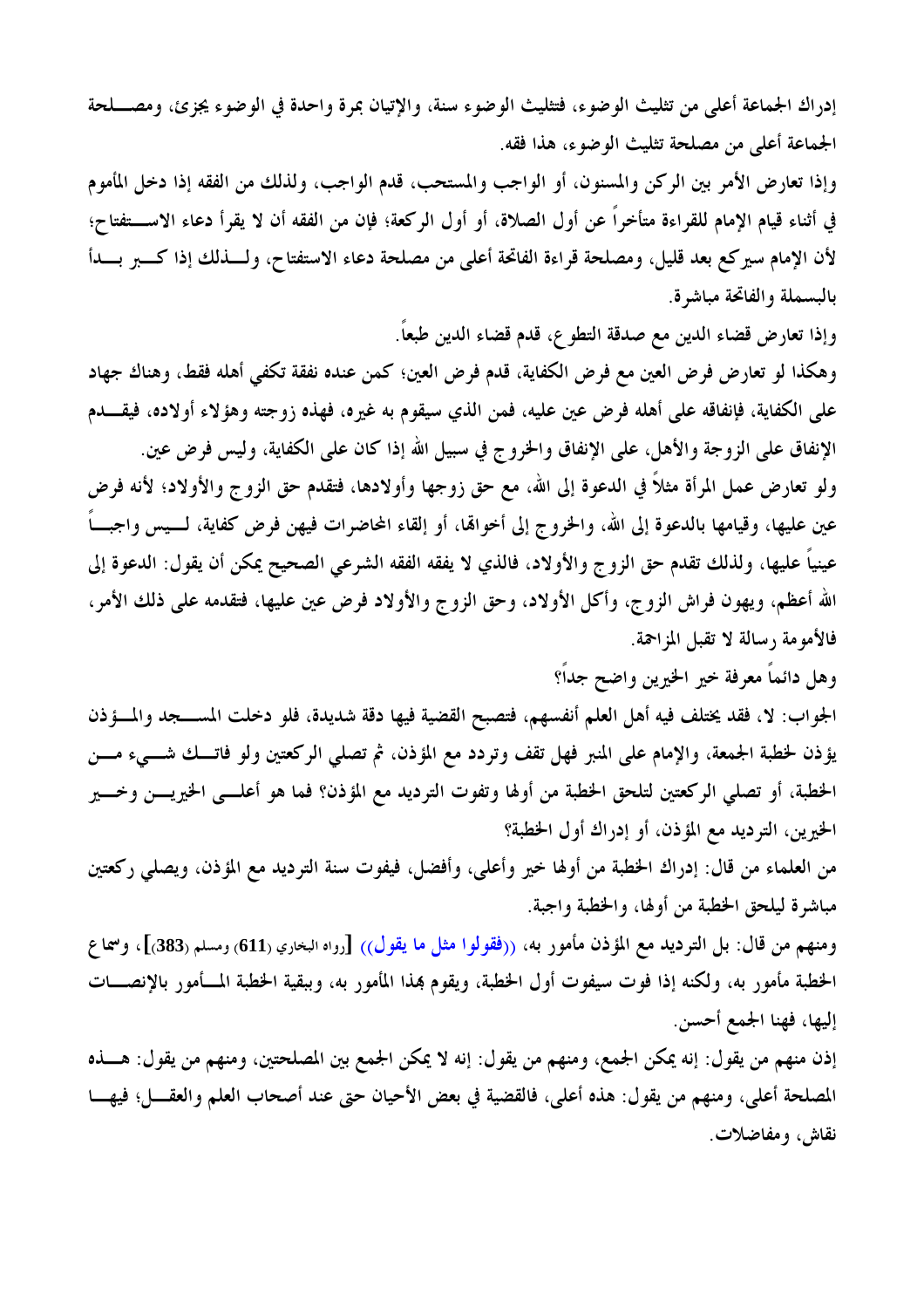إدراك الجماعة أعلى من تثليث الوضوء، فتثليث الوضوء سنة، والإتيان بمرة واحدة في الوضوء يجزئ، ومصــــلحة الجماعة أعلى من مصلحة تثليث الوضوء، هذا فقه.

وإذا تعارض الأمر بين الركن والمسنون، أو الواجب والمستحب، قدم الواجب، ولذلك من الفقه إذا دخل المأموم في أثناء قيام الإمام للقراءة متأخراً عن أول الصلاة، أو أول الركعة؛ فإن من الفقه أن لا يقرأ دعاء الاستختاج؛ لأن الإمام سيركع بعد قليل، ومصلحة قراءة الفاتحة أعلى من مصلحة دعاء الاستفتاح، ولـــذلك إذا كــــبر بـــدأ بالبسملة والفاتحة مباشرة.

وإذا تعارض قضاء الدين مع صدقة التطوع، قدم قضاء الدين طبعاً.

وهكذا لو تعارض فرض العين مع فرض الكفاية، قدم فرض العين؛ كمن عنده نفقة تكفي أهله فقط، وهناك جهاد على الكفاية، فإنفاقه على أهله فرض عين عليه، فمن الذي سيقوم به غيره، فهذه زوجته وهؤلاء أولاده، فيقـــدم الإنفاق على الزوجة والأهل، على الإنفاق والخروج في سبيل الله إذا كان على الكفاية، وليس فرض عين.

ولو تعارض عمل المرأة مثلاً في الدعوة إلى الله، مع حق زوجها وأولادها، فتقدم حق الزوج والأولاد؛ لأنه فرض عين عليها، وقيامها بالدعوة إلى الله، والخروج إلى أخواهّا، أو إلقاء المحاضرات فيهن فرض كفاية، لـــيس واجبـــاً عينياً عليها، ولذلك تقدم حق الزوج والأولاد، فالذي لا يفقه الفقه الشرعي الصحيح يمكن أن يقول: الدعوة إلى الله أعظم، ويهون فراش الزوج، وأكل الأولاد، وحق الزوج والأولاد فرض عين عليها، فتقدمه على ذلك الأمر، فالأمومة رسالة لا تقبل المزاحمة.

وهل دائماً معرفة خير الخيرين واضح جداً؟

الجواب: لا، فقد يختلف فيه أهل العلم أنفسهم، فتصبح القضية فيها دقة شديدة، فلو دخلت المســـجد والمـــؤذن يؤذن لخطبة الجمعة، والإمام على المنبر فهل تقف وتردد مع المؤذن، ثم تصلَّى الركعتين ولو فاتـــك شــــيء مــــن الخطبة، أو تصلى الركعتين لتلحق الخطبة من أولها وتفوت الترديد مع المؤذن؟ فما هو أعلـــي الخيريــــن وخــــير الخيرين، الترديد مع المؤذن، أو إدراك أول الخطبة؟

من العلماء من قال: إدراك الخطبة من أولها خير وأعلى، وأفضل، فيفوت سنة الترديد مع المؤذن، ويصلي ركعتين مباشرة ليلحق الخطبة من أولها، والخطبة واجبة.

ومنهم من قال: بل الترديد مع المؤذن مأمور به، ((فقولوا مثل ما يقول)) [رواه البخاري (611) ومسلم (383)]، وسماع الخطبة مأمور به، ولكنه إذا فوت سيفوت أول الخطبة، ويقوم بمذا المأمور به، وببقية الخطبة المـــأمور بالإنصــــات إليها، فهنا الجمع أحسن.

إذن منهم من يقول: إنه يمكن الجمع، ومنهم من يقول: إنه لا يمكن الجمع بين المصلحتين، ومنهم من يقول: هـــذه المصلحة أعلى، ومنهم من يقول: هذه أعلى، فالقضية في بعض الأحيان حتى عند أصحاب العلم والعقـــل؛ فيهـــا نقاش، ومفاضلات.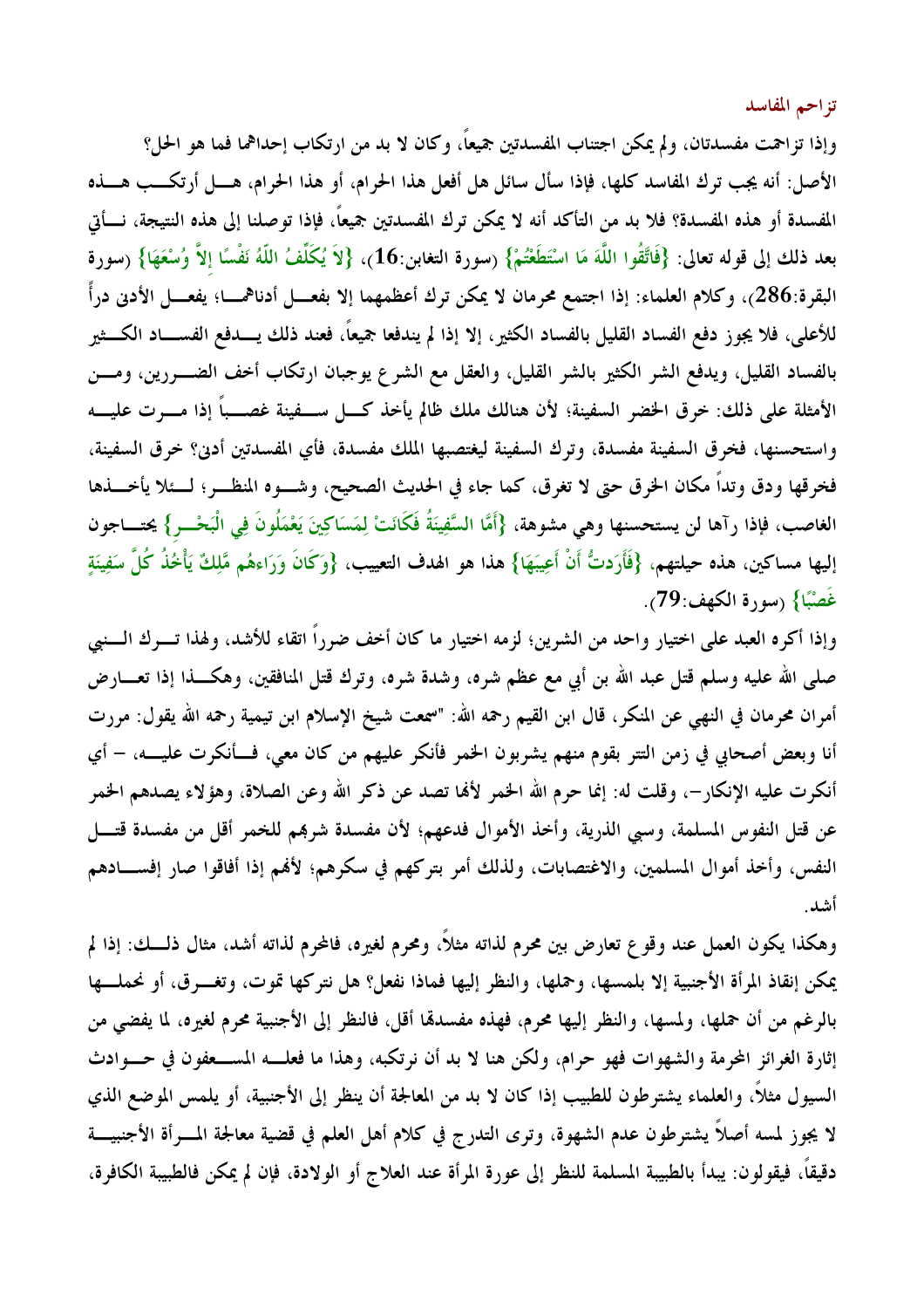تزاحم المفاسد

وإذا تزاحمت مفسدتان، ولم يمكن اجتناب المفسدتين جميعاً، وكان لا بد من ارتكاب إحداهما فما هو الحل؟ الأصل: أنه يجب ترك المفاسد كلها، فإذا سأل سائل هل أفعل هذا الحرام، أو هذا الحرام، هـــل أرتكـــب هـــذه المفسدة أو هذه المفسدة؟ فلا بد من التأكد أنه لا يمكن ترك المفسدتين جميعاً، فإذا توصلنا إلى هذه النتيجة، نـــأتي بعد ذلك إلى قوله تعالى: {فَاتَّقُوا اللَّهَ مَا اسْتَطَعْتُمْ} (سورة التغابن:16)، {لاَ يُكَلِّفُ اللّهُ نَفْسًا إلاّ وُسْعَهَا} (سورة البقرة:286)، وكلام العلماء: إذا اجتمع محرمان لا يمكن ترك أعظمهما إلا بفعـــل أدناهمــــا؛ يفعــــل الأدنى درأً للأعلى، فلا يجوز دفع الفساد القليل بالفساد الكثير، إلا إذا لم يندفعا جميعًا، فعند ذلك يــــدفع الفســــاد الكـــثير بالفساد القليل، ويدفع الشر الكثير بالشر القليل، والعقل مع الشرع يوجبان ارتكاب أخف الضـــررين، ومـــن الأمثلة على ذلك: خرق الخضر السفينة؛ لأن هنالك ملك ظالم يأخذ كـــل ســـفينة غصــــباً إذا مــــوت عليـــــه واستحسنها، فخرق السفينة مفسدة، وترك السفينة ليغتصبها الملك مفسدة، فأي المفسدتين أدي؟ خرق السفينة، فخرقها ودق وتداً مكان الخرق حتى لا تغرق، كما جاء في الحديث الصحيح، وشـــوه المنظـــر؛ لــــئلا يأخـــذها الغاصب، فإذا رآها لن يستحسنها وهي مشوهة، {أَمَّا السَّفِينَةُ فَكَانَتْ لِمَسَاكِينَ يَعْمَلُونَ فِي الْبَحْــر} يحتـــاجون إليها مساكين، هذه حيلتهم، {فَأَرَدتُّ أَنْ أَعِيبَهَا} هذا هو الهدف التعييب، {وَكَانَ وَرَاءهُم مَّلِكٌ يَأْخُذُ كُلَّ سَفِينَةٍ غَصْبًا} (سورة الكهف:79).

وإذا أكره العبد على اختيار واحد من الشرين؛ لزمه اختيار ما كان أخف ضرراً اتقاء للأشد، ولهذا تـــرك الـــنبي صلى الله عليه وسلم قتل عبد الله بن أبي مع عظم شره، وشدة شره، وترك قتل المنافقين، وهكــــذا إذا تعــــارض أمران محرمان في النهي عن المنكر، قال ابن القيم رحمه الله: "سمعت شيخ الإسلام ابن تيمية رحمه الله يقول: مررت أنا وبعض أصحابي في زمن التتر بقوم منهم يشربون الخمر فأنكر عليهم من كان معي، فـــأنكرت عليــــه، – أي أنكرت عليه الإنكار–، وقلت له: إنما حرم الله الخمر لألها تصد عن ذكر الله وعن الصلاة، وهؤلاء يصدهم الخمر عن قتل النفوس المسلمة، وسبي الذرية، وأخذ الأموال فدعهم؛ لأن مفسدة شرهم للخمر أقل من مفسدة قتـــل النفس، وأخذ أموال المسلمين، والاغتصابات، ولذلك أمر بتركهم في سكرهم؛ لأفمم إذا أفاقوا صار إفســادهم أشد.

وهكذا يكون العمل عند وقوع تعارض بين محرم لذاته مثلاً، ومحرم لغيره، فالمحرم لذاته أشد، مثال ذلـــك: إذا لم يمكن إنقاذ المرأة الأجنبية إلا بلمسها، وحملها، والنظر إليها فماذا نفعل؟ هل نتركها تموت، وتغـــرق، أو نحملـــها بالرغم من أن حملها، ولمسها، والنظر إليها محرم، فهذه مفسدةًا أقل، فالنظر إلى الأجنبية محرم لغيره، لما يفضي من إثارة الغرائز المحرمة والشهوات فهو حرام، ولكن هنا لا بد أن نرتكبه، وهذا ما فعلـــه المســـعفون في حـــوادث السيول مثلاً، والعلماء يشترطون للطبيب إذا كان لا بد من المعالجة أن ينظر إلى الأجنبية، أو يلمس الموضع الذي لا يجوز لمسه أصلاً يشترطون عدم الشهوة، وترى التدرج في كلام أهل العلم في قضية معالجة المسرأة الأجنبيــــة دقيقاً، فيقولون: يبدأ بالطبيبة المسلمة للنظر إلى عورة المرأة عند العلاج أو الولادة، فإن لم يمكن فالطبيبة الكافرة،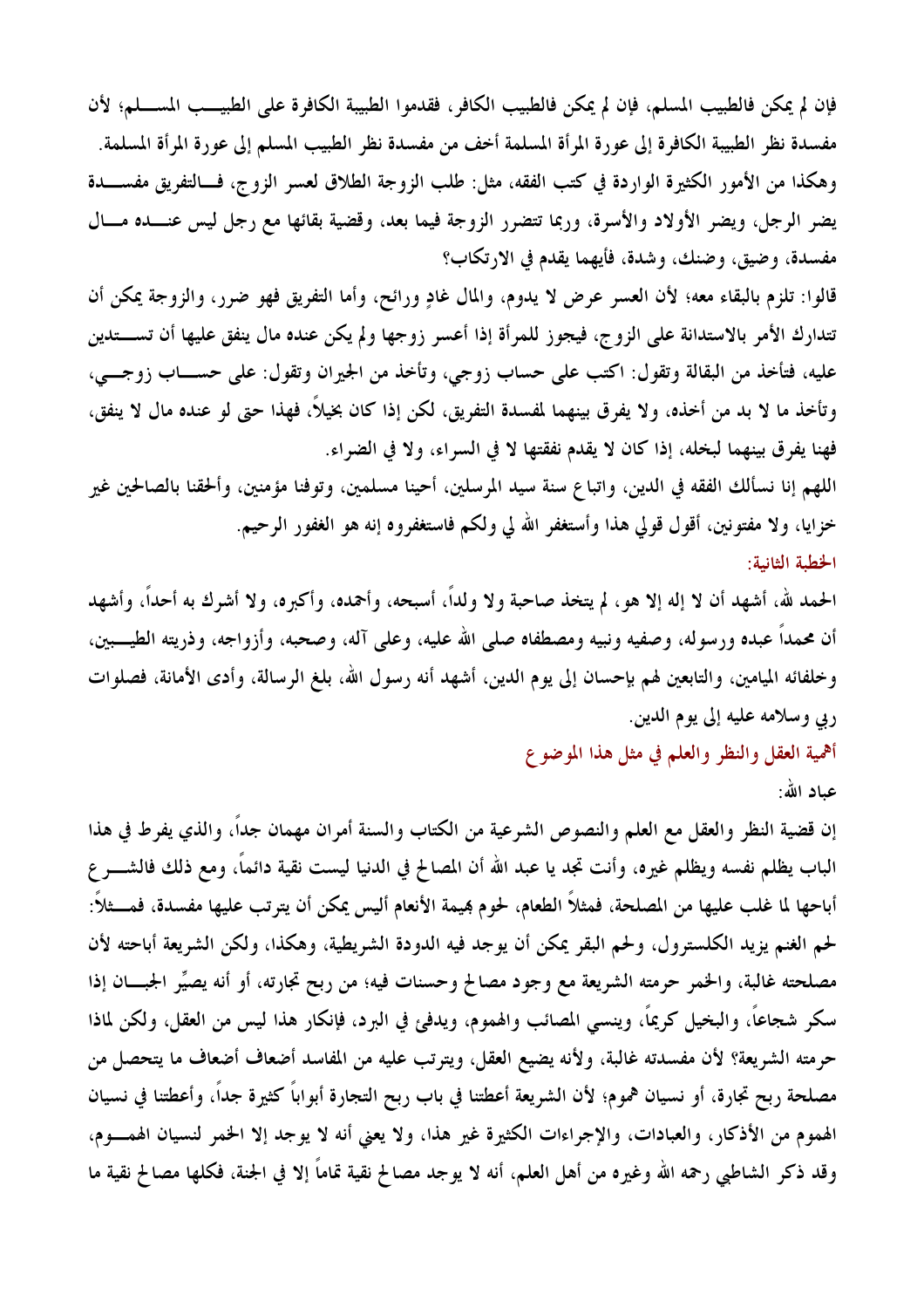فإن لم يمكن فالطبيب المسلم، فإن لم يمكن فالطبيب الكافر، فقدموا الطبيبة الكافرة على الطبيـــب المســــلم؛ لأن مفسدة نظر الطبيبة الكافرة إلى عورة المرأة المسلمة أخف من مفسدة نظر الطبيب المسلم إلى عورة المرأة المسلمة. وهكذا من الأمور الكثيرة الواردة في كتب الفقه، مثل: طلب الزوجة الطلاق لعسر الزوج، فسالتفريق مفســـدة يضر الرجل، ويضر الأولاد والأسرة، وربما تتضرر الزوجة فيما بعد، وقضية بقائها مع رجل ليس عنـــده مـــال مفسدة، وضيق، وضنك، وشدة، فأيهما يقدم في الارتكاب؟

قالوا: تلزم بالبقاء معه؛ لأن العسر عرض لا يدوم، والمال غادٍ ورائح، وأما التفريق فهو ضرر، والزوجة يمكن أن تتدارك الأمر بالاستدانة على الزوج، فيجوز للمرأة إذا أعسر زوجها ولم يكن عنده مال ينفق عليها أن تســـتدين عليه، فتأخذ من البقالة وتقول: اكتب على حساب زوجي، وتأخذ من الجيران وتقول: على حســـاب زوجـــي، وتأخذ ما لا بد من أخذه، ولا يفرق بينهما لمفسدة التفريق، لكن إذا كان بخيلاً، فهذا حتى لو عنده مال لا ينفق، فهنا يفرق بينهما لبخله، إذا كان لا يقدم نفقتها لا في السراء، ولا في الضراء.

اللهم إنا نسألك الفقه في الدين، واتباع سنة سيد المرسلين، أحينا مسلمين، وتوفنا مؤمنين، وألحقنا بالصالحين غير خزايا، ولا مفتونين، أقول قولي هذا وأستغفر الله لي ولكم فاستغفروه إنه هو الغفور الرحيم. الخطبة الثانية:

الحمد لله، أشهد أن لا إله إلا هو، لم يتخذ صاحبة ولا ولداً، أسبحه، وأحمده، وأكبره، ولا أشرك به أحداً، وأشهد أن محمداً عبده ورسوله، وصفيه ونبيه ومصطفاه صلى الله عليه، وعلى آله، وصحبه، وأزواجه، وذريته الطيـــبين، وخلفائه الميامين، والتابعين لهم بإحسان إلى يوم الدين، أشهد أنه رسول الله، بلغ الرسالة، وأدى الأمانة، فصلوات ربي وسلامه عليه إلى يوم الدين.

أهمية العقل والنظر والعلم في مثل هذا الموضوع

عياد الله:

إن قضية النظر والعقل مع العلم والنصوص الشرعية من الكتاب والسنة أمران مهمان جداً، والذي يفرط في هذا الباب يظلم نفسه ويظلم غيره، وأنت تجد يا عبد الله أن المصالح في الدنيا ليست نقية دائماً، ومع ذلك فالشــــر ع أباحها لما غلب عليها من المصلحة، فمثلاً الطعام، لحوم هِيمة الأنعام أليس يمكن أن يترتب عليها مفسدة، فمسثلاً: لحم الغنم يزيد الكلسترول، ولحم البقر يمكن أن يوجد فيه الدودة الشريطية، وهكذا، ولكن الشريعة أباحته لأن مصلحته غالبة، والخمر حرمته الشريعة مع وجود مصالح وحسنات فيه؛ من ربح تجارته، أو أنه يصيِّر الجبـــان إذا سكر شجاعاً، والبخيل كريماً، وينسى المصائب والهموم، ويدفئ في البرد، فإنكار هذا ليس من العقل، ولكن لماذا حرمته الشريعة؟ لأن مفسدته غالبة، ولأنه يضيع العقل، ويترتب عليه من المفاسد أضعاف أضعاف ما يتحصل من مصلحة ربح تجارة، أو نسيان هموم؛ لأن الشريعة أعطتنا في باب ربح التجارة أبواباً كثيرة جداً، وأعطتنا في نسيان الهموم من الأذكار، والعبادات، والإجراءات الكثيرة غير هذا، ولا يعني أنه لا يوجد إلا الخمر لنسيان الهمـــوم، وقد ذكر الشاطبي رحمه الله وغيره من أهل العلم، أنه لا يوجد مصالح نقية تماماً إلا في الجنة، فكلها مصالح نقية ما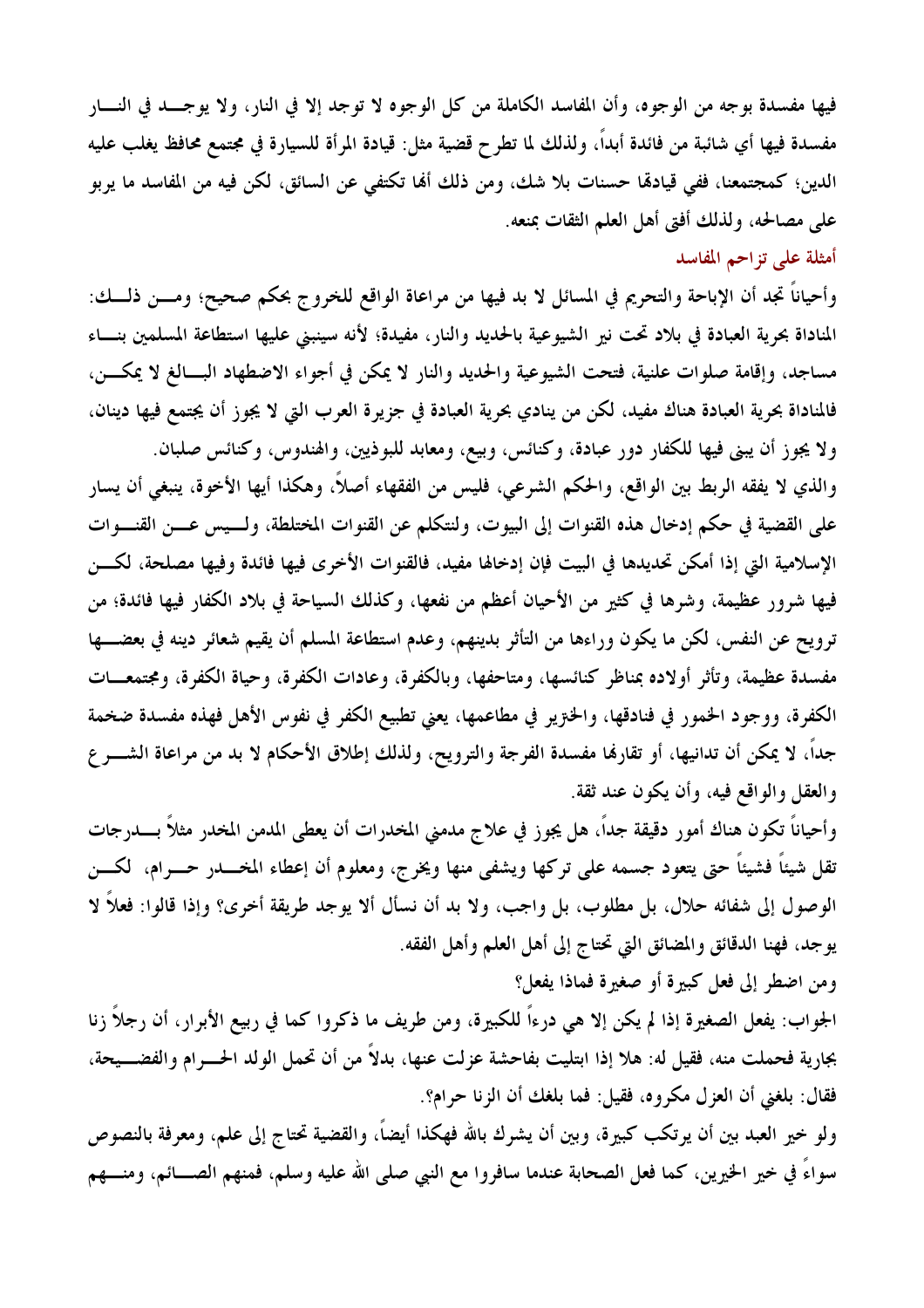فيها مفسدة بوجه من الوجوه، وأن المفاسد الكاملة من كل الوجوه لا توجد إلا في النار، ولا يوجـــد في النــــار مفسدة فيها أي شائبة من فائدة أبداً، ولذلك لما تطرح قضية مثل: قيادة المرأة للسيارة في مجتمع محافظ يغلب عليه الدين؛ كمجتمعنا، ففي قيادهّا حسنات بلا شك، ومن ذلك ألها تكتفي عن السائق، لكن فيه من المفاسد ما يربو على مصالحه، ولذلك أفتى أهل العلم الثقات بمنعه.

## أمثلة على تزاحم المفاسد

وأحياناً تجد أن الإباحة والتحريم في المسائل لا بد فيها من مراعاة الواقع للخروج بحكم صحيح؛ ومـــن ذلـــك: المناداة بحرية العبادة في بلاد تحت نير الشيوعية بالحديد والنار، مفيدة؛ لأنه سينبني عليها استطاعة المسلمين بنساء مساجد، وإقامة صلوات علنية، فتحت الشيوعية والحديد والنار لا يمكن في أجواء الاضطهاد البسالغ لا يمكسن، فالمناداة بحرية العبادة هناك مفيد، لكن من ينادي بحرية العبادة في جزيرة العرب التي لا يجوز أن يجتمع فيها دينان، ولا يجوز أن يبني فيها للكفار دور عبادة، وكنائس، وبيع، ومعابد للبوذيين، والهندوس، وكنائس صلبان. والذي لا يفقه الربط بين الواقع، والحكم الشرعي، فليس من الفقهاء أصلاً، وهكذا أيها الأخوة، ينبغي أن يسار على القضية في حكم إدخال هذه القنوات إلى البيوت، ولنتكلم عن القنوات المختلطة، ولـــيس عـــن القنــــوات الإسلامية التي إذا أمكن تحديدها في البيت فإن إدخالها مفيد، فالقنوات الأخرى فيها فائدة وفيها مصلحة، لكسن فيها شرور عظيمة، وشرها في كثير من الأحيان أعظم من نفعها، وكذلك السياحة في بلاد الكفار فيها فائدة؛ من ترويح عن النفس، لكن ما يكون وراءها من التأثر بدينهم، وعدم استطاعة المسلم أن يقيم شعائر دينه في بعضـــها مفسدة عظيمة، وتأثر أولاده بمناظر كنائسها، ومتاحفها، وبالكفرة، وعادات الكفرة، وحياة الكفرة، ومجتمعــات الكفرة، ووجود الخمور في فنادقها، والخترير في مطاعمها، يعني تطبيع الكفر في نفوس الأهل فهذه مفسدة ضخمة جداً، لا يمكن أن تدانيها، أو تقارفما مفسدة الفرجة والترويح، ولذلك إطلاق الأحكام لا بد من مراعاة الشـــر ع

والعقل والواقع فيه، وأن يكون عند ثقة.

وأحياناً تكون هناك أمور دقيقة جداً، هل يجوز في علاج مدمني المخدرات أن يعطي المدمن المخدر مثلاً بــــدرجات تقل شيئاً فشيئاً حتى يتعود جسمه على تركها ويشفى منها ويخرج، ومعلوم أن إعطاء المخــــدر حــــرام، لكــــن الوصول إلى شفائه حلال، بل مطلوب، بل واجب، ولا بد أن نسأل ألا يوجد طريقة أخرى؟ وإذا قالوا: فعلاً لا يوجد، فهنا الدقائق والمضائق التي تحتاج إلى أهل العلم وأهل الفقه.

ومن اضطر إلى فعل كبيرة أو صغيرة فماذا يفعل؟

الجواب: يفعل الصغيرة إذا لم يكن إلا هي درءاً للكبيرة، ومن طريف ما ذكروا كما في ربيع الأبرار، أن رجلاً زنا بجارية فحملت منه، فقيل له: هلا إذا ابتليت بفاحشة عزلت عنها، بدلاً من أن تحمل الولد الحـــرام والفضـــيحة، فقال: بلغني أن العزل مكروه، فقيل: فما بلغك أن الزنا حرام؟.

ولو خير العبد بين أن يرتكب كبيرة، وبين أن يشرك بالله فهكذا أيضاً، والقضية تحتاج إلى علم، ومعرفة بالنصوص سواءً في خير الخيرين، كما فعل الصحابة عندما سافروا مع النبي صلى الله عليه وسلم، فمنهم الصـــائم، ومنـــهم